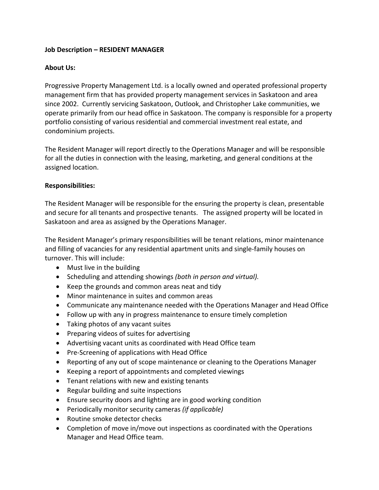## **Job Description – RESIDENT MANAGER**

# **About Us:**

Progressive Property Management Ltd. is a locally owned and operated professional property management firm that has provided property management services in Saskatoon and area since 2002. Currently servicing Saskatoon, Outlook, and Christopher Lake communities, we operate primarily from our head office in Saskatoon. The company is responsible for a property portfolio consisting of various residential and commercial investment real estate, and condominium projects.

The Resident Manager will report directly to the Operations Manager and will be responsible for all the duties in connection with the leasing, marketing, and general conditions at the assigned location.

### **Responsibilities:**

The Resident Manager will be responsible for the ensuring the property is clean, presentable and secure for all tenants and prospective tenants. The assigned property will be located in Saskatoon and area as assigned by the Operations Manager.

The Resident Manager's primary responsibilities will be tenant relations, minor maintenance and filling of vacancies for any residential apartment units and single-family houses on turnover. This will include:

- Must live in the building
- Scheduling and attending showings *(both in person and virtual).*
- Keep the grounds and common areas neat and tidy
- Minor maintenance in suites and common areas
- Communicate any maintenance needed with the Operations Manager and Head Office
- Follow up with any in progress maintenance to ensure timely completion
- Taking photos of any vacant suites
- Preparing videos of suites for advertising
- Advertising vacant units as coordinated with Head Office team
- Pre-Screening of applications with Head Office
- Reporting of any out of scope maintenance or cleaning to the Operations Manager
- Keeping a report of appointments and completed viewings
- Tenant relations with new and existing tenants
- Regular building and suite inspections
- Ensure security doors and lighting are in good working condition
- Periodically monitor security cameras *(if applicable)*
- Routine smoke detector checks
- Completion of move in/move out inspections as coordinated with the Operations Manager and Head Office team.